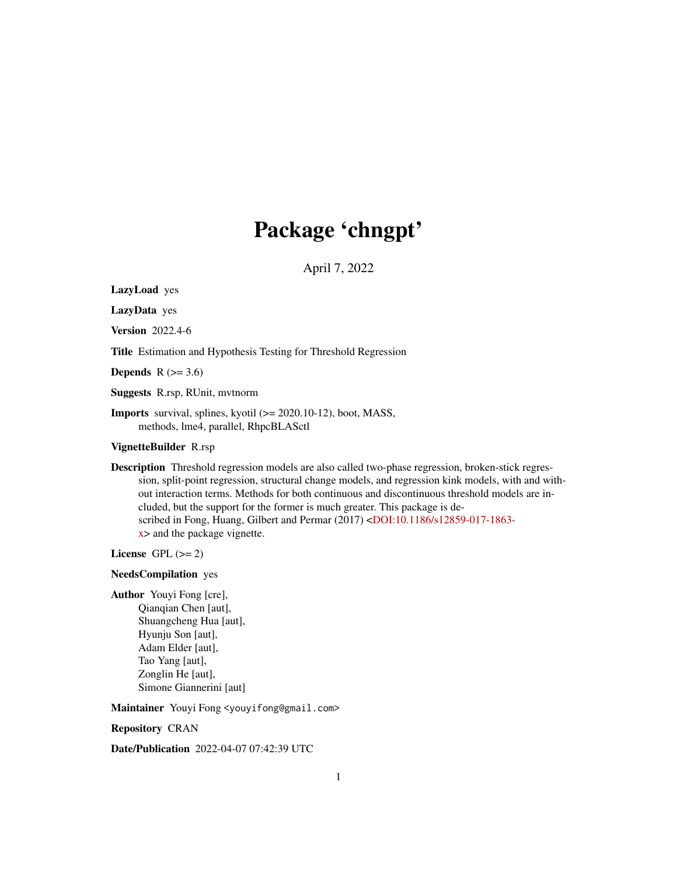## Package 'chngpt'

April 7, 2022

LazyLoad yes

LazyData yes

Version 2022.4-6

Title Estimation and Hypothesis Testing for Threshold Regression

Depends  $R$  ( $>= 3.6$ )

Suggests R.rsp, RUnit, mvtnorm

**Imports** survival, splines, kyotil  $(>= 2020.10-12)$ , boot, MASS, methods, lme4, parallel, RhpcBLASctl

VignetteBuilder R.rsp

Description Threshold regression models are also called two-phase regression, broken-stick regression, split-point regression, structural change models, and regression kink models, with and without interaction terms. Methods for both continuous and discontinuous threshold models are included, but the support for the former is much greater. This package is described in Fong, Huang, Gilbert and Permar (2017) [<DOI:10.1186/s12859-017-1863](https://doi.org/10.1186/s12859-017-1863-x) [x>](https://doi.org/10.1186/s12859-017-1863-x) and the package vignette.

License GPL  $(>= 2)$ 

#### NeedsCompilation yes

Author Youyi Fong [cre], Qianqian Chen [aut], Shuangcheng Hua [aut], Hyunju Son [aut], Adam Elder [aut], Tao Yang [aut], Zonglin He [aut], Simone Giannerini [aut]

Maintainer Youyi Fong <youyifong@gmail.com>

Repository CRAN

Date/Publication 2022-04-07 07:42:39 UTC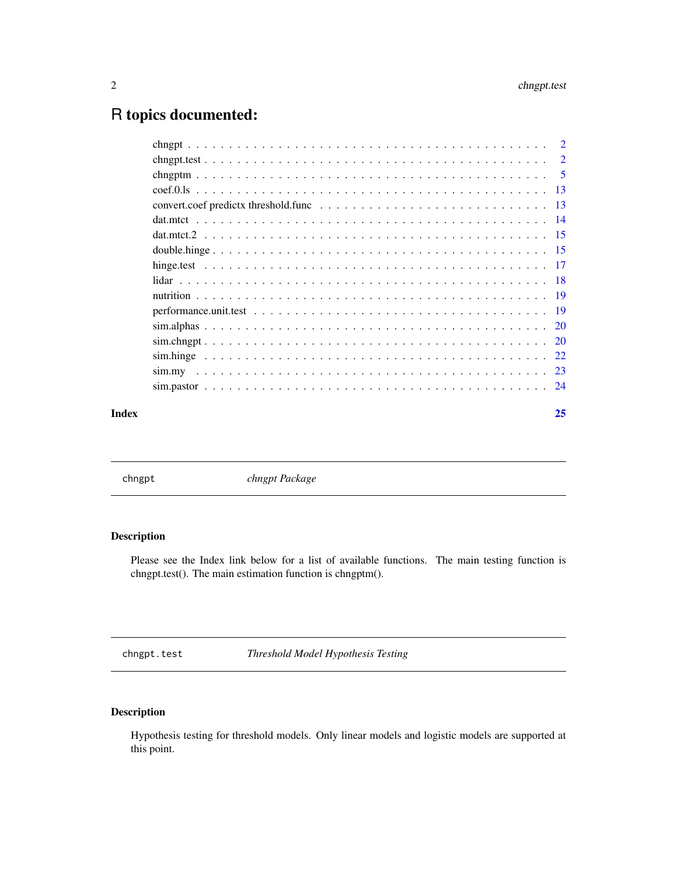## <span id="page-1-0"></span>R topics documented:

| Index | 25 |
|-------|----|
|       |    |
|       |    |
|       |    |
|       |    |
|       |    |
|       |    |
|       |    |
|       |    |
|       |    |
|       |    |
|       |    |
|       |    |
|       |    |
|       |    |
|       |    |
|       |    |
|       |    |

chngpt *chngpt Package*

## Description

Please see the Index link below for a list of available functions. The main testing function is chngpt.test(). The main estimation function is chngptm().

chngpt.test *Threshold Model Hypothesis Testing*

## Description

Hypothesis testing for threshold models. Only linear models and logistic models are supported at this point.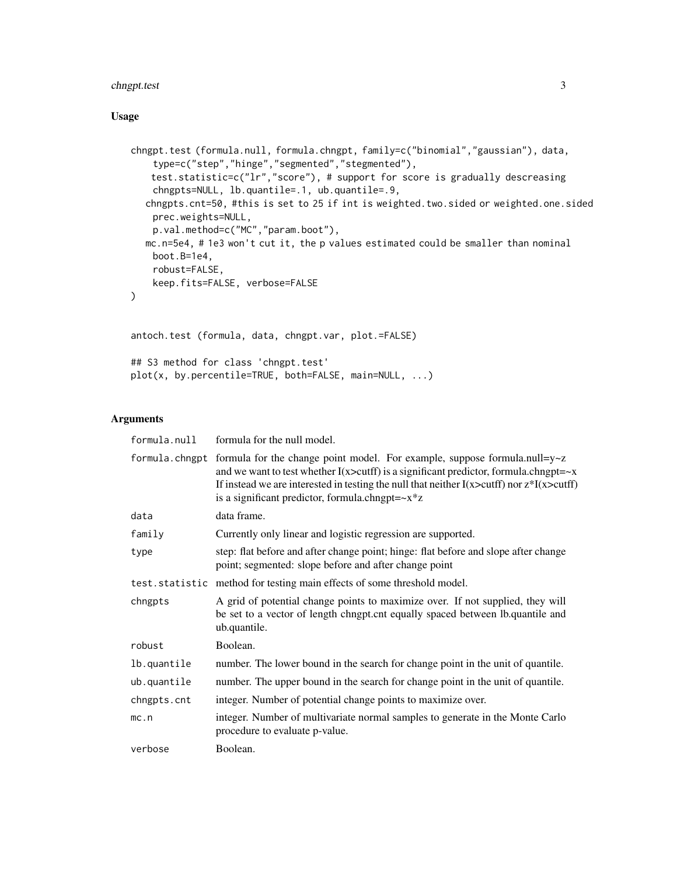## chngpt.test 3

## Usage

```
chngpt.test (formula.null, formula.chngpt, family=c("binomial","gaussian"), data,
    type=c("step","hinge","segmented","stegmented"),
   test.statistic=c("lr","score"), # support for score is gradually descreasing
    chngpts=NULL, lb.quantile=.1, ub.quantile=.9,
  chngpts.cnt=50, #this is set to 25 if int is weighted.two.sided or weighted.one.sided
    prec.weights=NULL,
    p.val.method=c("MC","param.boot"),
  mc.n=5e4, # 1e3 won't cut it, the p values estimated could be smaller than nominal
    boot.B=1e4,
    robust=FALSE,
   keep.fits=FALSE, verbose=FALSE
\mathcal{L}antoch.test (formula, data, chngpt.var, plot.=FALSE)
## S3 method for class 'chngpt.test'
plot(x, by.percentile=TRUE, both=FALSE, main=NULL, ...)
```
## Arguments

| formula.null   | formula for the null model.                                                                                                                                                                                                                                                                                                                                |
|----------------|------------------------------------------------------------------------------------------------------------------------------------------------------------------------------------------------------------------------------------------------------------------------------------------------------------------------------------------------------------|
| formula.chngpt | formula for the change point model. For example, suppose formula.null= $y \sim z$<br>and we want to test whether $I(x > cutff)$ is a significant predictor, formula.chngpt= $-x$<br>If instead we are interested in testing the null that neither $I(x > cutff)$ nor $z * I(x > cutff)$<br>is a significant predictor, formula.chngpt= $-x$ <sup>*</sup> z |
| data           | data frame.                                                                                                                                                                                                                                                                                                                                                |
| family         | Currently only linear and logistic regression are supported.                                                                                                                                                                                                                                                                                               |
| type           | step: flat before and after change point; hinge: flat before and slope after change<br>point; segmented: slope before and after change point                                                                                                                                                                                                               |
|                | test. statistic method for testing main effects of some threshold model.                                                                                                                                                                                                                                                                                   |
| chngpts        | A grid of potential change points to maximize over. If not supplied, they will<br>be set to a vector of length chngpt.cnt equally spaced between lb.quantile and<br>ub.quantile.                                                                                                                                                                           |
| robust         | Boolean.                                                                                                                                                                                                                                                                                                                                                   |
| lb.quantile    | number. The lower bound in the search for change point in the unit of quantile.                                                                                                                                                                                                                                                                            |
| ub.quantile    | number. The upper bound in the search for change point in the unit of quantile.                                                                                                                                                                                                                                                                            |
| chngpts.cnt    | integer. Number of potential change points to maximize over.                                                                                                                                                                                                                                                                                               |
| mc.n           | integer. Number of multivariate normal samples to generate in the Monte Carlo<br>procedure to evaluate p-value.                                                                                                                                                                                                                                            |
| verbose        | Boolean.                                                                                                                                                                                                                                                                                                                                                   |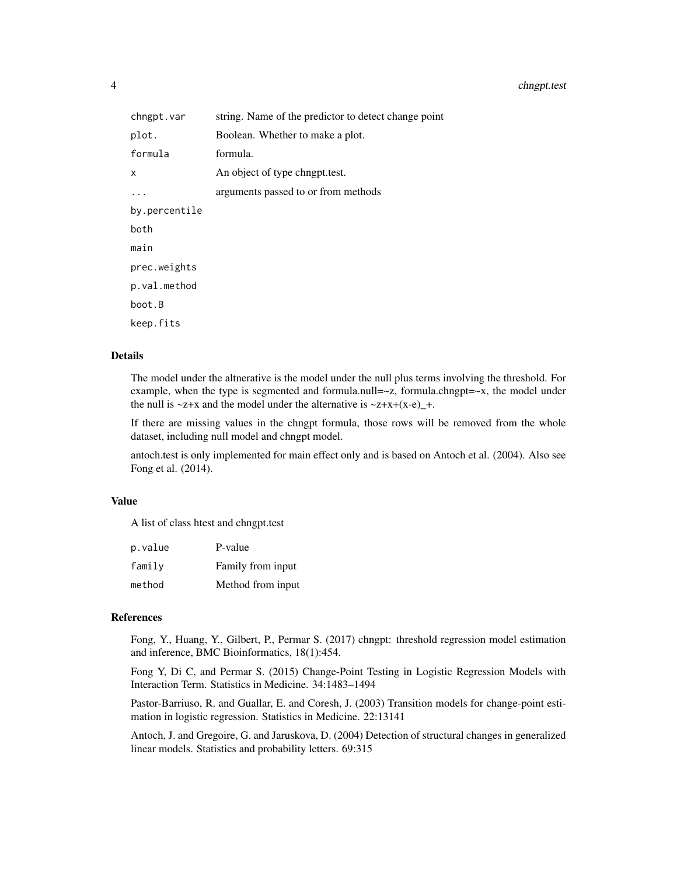| chngpt.var    | string. Name of the predictor to detect change point |
|---------------|------------------------------------------------------|
| plot.         | Boolean. Whether to make a plot.                     |
| formula       | formula.                                             |
| x             | An object of type chngpt.test.                       |
|               | arguments passed to or from methods                  |
| by.percentile |                                                      |
| both          |                                                      |
| main          |                                                      |
| prec.weights  |                                                      |
| p.val.method  |                                                      |
| boot.B        |                                                      |
| keep.fits     |                                                      |

#### Details

The model under the altnerative is the model under the null plus terms involving the threshold. For example, when the type is segmented and formula.null= $\sim$ z, formula.chngpt= $\sim$ x, the model under the null is  $\sim$ z+x and the model under the alternative is  $\sim$ z+x+(x-e)\_+.

If there are missing values in the chngpt formula, those rows will be removed from the whole dataset, including null model and chngpt model.

antoch.test is only implemented for main effect only and is based on Antoch et al. (2004). Also see Fong et al. (2014).

#### Value

A list of class htest and chngpt.test

| p.value | P-value           |
|---------|-------------------|
| family  | Family from input |
| method  | Method from input |

#### References

Fong, Y., Huang, Y., Gilbert, P., Permar S. (2017) chngpt: threshold regression model estimation and inference, BMC Bioinformatics, 18(1):454.

Fong Y, Di C, and Permar S. (2015) Change-Point Testing in Logistic Regression Models with Interaction Term. Statistics in Medicine. 34:1483–1494

Pastor-Barriuso, R. and Guallar, E. and Coresh, J. (2003) Transition models for change-point estimation in logistic regression. Statistics in Medicine. 22:13141

Antoch, J. and Gregoire, G. and Jaruskova, D. (2004) Detection of structural changes in generalized linear models. Statistics and probability letters. 69:315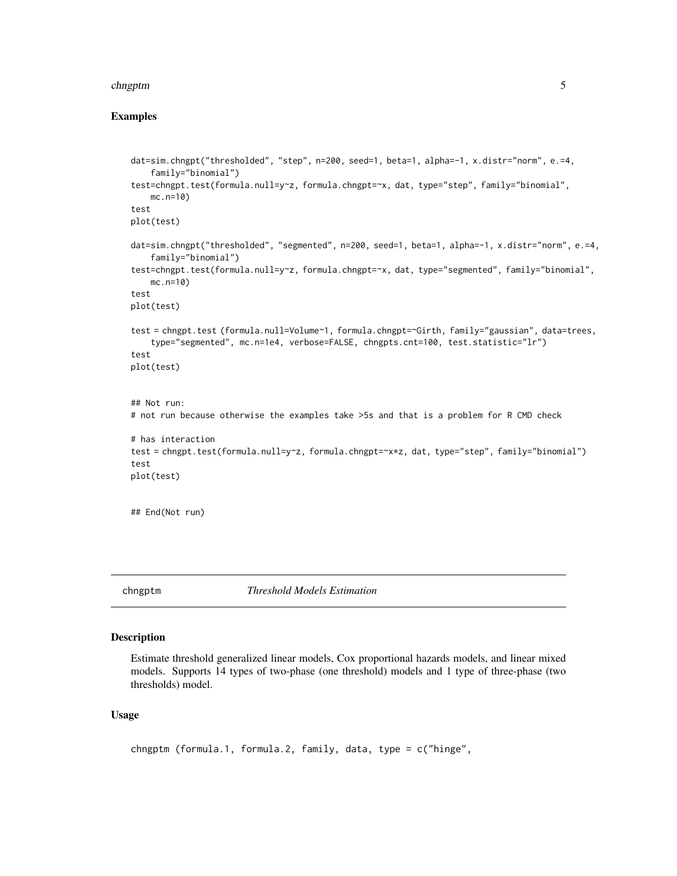#### <span id="page-4-0"></span>chngptm 5

#### Examples

```
dat=sim.chngpt("thresholded", "step", n=200, seed=1, beta=1, alpha=-1, x.distr="norm", e.=4,
    family="binomial")
test=chngpt.test(formula.null=y~z, formula.chngpt=~x, dat, type="step", family="binomial",
   mc.n=10)
test
plot(test)
dat=sim.chngpt("thresholded", "segmented", n=200, seed=1, beta=1, alpha=-1, x.distr="norm", e.=4,
    family="binomial")
test=chngpt.test(formula.null=y~z, formula.chngpt=~x, dat, type="segmented", family="binomial",
   mc.n=10)
test
plot(test)
test = chngpt.test (formula.null=Volume~1, formula.chngpt=~Girth, family="gaussian", data=trees,
    type="segmented", mc.n=1e4, verbose=FALSE, chngpts.cnt=100, test.statistic="lr")
test
plot(test)
## Not run:
# not run because otherwise the examples take >5s and that is a problem for R CMD check
# has interaction
test = chngpt.test(formula.null=y~z, formula.chngpt=~x*z, dat, type="step", family="binomial")
test
plot(test)
## End(Not run)
```
chngptm *Threshold Models Estimation*

## Description

Estimate threshold generalized linear models, Cox proportional hazards models, and linear mixed models. Supports 14 types of two-phase (one threshold) models and 1 type of three-phase (two thresholds) model.

#### Usage

chngptm (formula.1, formula.2, family, data, type = c("hinge",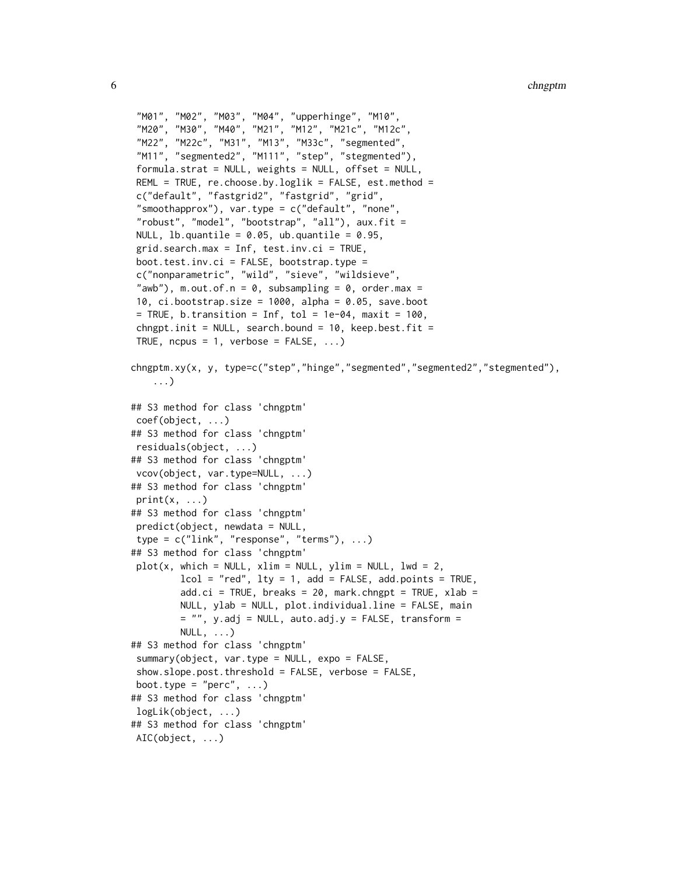```
"M01", "M02", "M03", "M04", "upperhinge", "M10",
"M20", "M30", "M40", "M21", "M12", "M21c", "M12c",
"M22", "M22c", "M31", "M13", "M33c", "segmented",
"M11", "segmented2", "M111", "step", "stegmented"),
formula.strat = NULL, weights = NULL, offset = NULL,
REML = TRUE, re.choose.by.loglik = FALSE, est.method =
c("default", "fastgrid2", "fastgrid", "grid",
"smoothapprox"), var.type = c("default", "none""robust", "model", "bootstrap", "all"), aux.fit =
NULL, lb.quantile = 0.05, ub.quantile = 0.95,
grid.search.max = Inf, test.inv.ci = TRUE,
boot.test.inv.ci = FALSE, bootstrap.type =
c("nonparametric", "wild", "sieve", "wildsieve",
"awb"), m.out.of.n = 0, subsampling = 0, order.max =10, ci.bootstrap.size = 1000, alpha = 0.05, save.boot
= TRUE, b.transition = Inf, tol = 1e-04, maxit = 100,
chngpt.init = NULL, search.bound = 10, keep.best.fit =
TRUE, ncpus = 1, verbose = FALSE, ...)
chngptm.xy(x, y, type=c("step","hinge","segmented","segmented2","stegmented"),
   ...)
## S3 method for class 'chngptm'
coef(object, ...)
## S3 method for class 'chngptm'
residuals(object, ...)
## S3 method for class 'chngptm'
vcov(object, var.type=NULL, ...)
## S3 method for class 'chngptm'
print(x, \ldots)## S3 method for class 'chngptm'
predict(object, newdata = NULL,
type = c("link", "response", "terms"), ...## S3 method for class 'chngptm'
plot(x, which = NULL, xlim = NULL, ylim = NULL, lw = 2,lcol = "red", lty = 1, add = FALSE, add.points = TRUE,add.ci = TRUE, breaks = 20, mark.chngpt = TRUE, xlab =
        NULL, ylab = NULL, plot.individual.line = FALSE, main
        = "", y.add = NULL, auto.add.y = FALSE, transform =NULL, \ldots)## S3 method for class 'chngptm'
summary(object, var.type = NULL, expo = FALSE,
show.slope.post.threshold = FALSE, verbose = FALSE,
boot.type = "perc", \dots)
## S3 method for class 'chngptm'
logLik(object, ...)
## S3 method for class 'chngptm'
AIC(object, ...)
```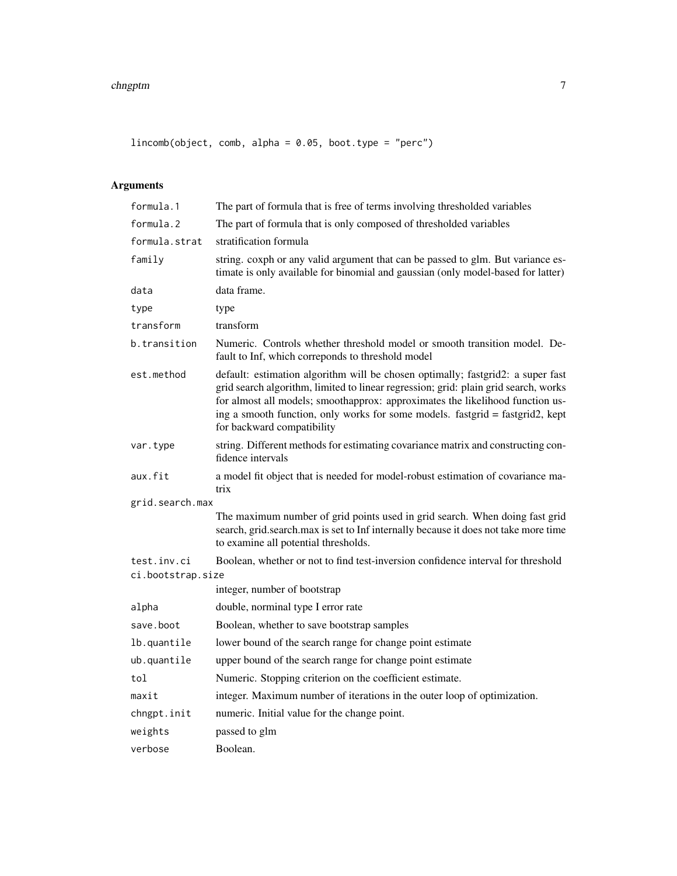$lincomb(object, comb, alpha = 0.05, boot.type = "perc")$ 

## Arguments

| formula.1         | The part of formula that is free of terms involving thresholded variables                                                                                                                                                                                                                                                                                              |  |
|-------------------|------------------------------------------------------------------------------------------------------------------------------------------------------------------------------------------------------------------------------------------------------------------------------------------------------------------------------------------------------------------------|--|
| formula.2         | The part of formula that is only composed of thresholded variables                                                                                                                                                                                                                                                                                                     |  |
| formula.strat     | stratification formula                                                                                                                                                                                                                                                                                                                                                 |  |
| family            | string. coxph or any valid argument that can be passed to glm. But variance es-<br>timate is only available for binomial and gaussian (only model-based for latter)                                                                                                                                                                                                    |  |
| data              | data frame.                                                                                                                                                                                                                                                                                                                                                            |  |
| type              | type                                                                                                                                                                                                                                                                                                                                                                   |  |
| transform         | transform                                                                                                                                                                                                                                                                                                                                                              |  |
| b.transition      | Numeric. Controls whether threshold model or smooth transition model. De-<br>fault to Inf, which correponds to threshold model                                                                                                                                                                                                                                         |  |
| est.method        | default: estimation algorithm will be chosen optimally; fastgrid2: a super fast<br>grid search algorithm, limited to linear regression; grid: plain grid search, works<br>for almost all models; smoothapprox: approximates the likelihood function us-<br>ing a smooth function, only works for some models. fastgrid = fastgrid2, kept<br>for backward compatibility |  |
| var.type          | string. Different methods for estimating covariance matrix and constructing con-<br>fidence intervals                                                                                                                                                                                                                                                                  |  |
| aux.fit           | a model fit object that is needed for model-robust estimation of covariance ma-<br>trix                                                                                                                                                                                                                                                                                |  |
| grid.search.max   |                                                                                                                                                                                                                                                                                                                                                                        |  |
|                   | The maximum number of grid points used in grid search. When doing fast grid<br>search, grid.search.max is set to Inf internally because it does not take more time<br>to examine all potential thresholds.                                                                                                                                                             |  |
| test.inv.ci       | Boolean, whether or not to find test-inversion confidence interval for threshold                                                                                                                                                                                                                                                                                       |  |
| ci.bootstrap.size |                                                                                                                                                                                                                                                                                                                                                                        |  |
|                   | integer, number of bootstrap                                                                                                                                                                                                                                                                                                                                           |  |
| alpha             | double, norminal type I error rate                                                                                                                                                                                                                                                                                                                                     |  |
| save.boot         | Boolean, whether to save bootstrap samples                                                                                                                                                                                                                                                                                                                             |  |
| lb.quantile       | lower bound of the search range for change point estimate                                                                                                                                                                                                                                                                                                              |  |
| ub.quantile       | upper bound of the search range for change point estimate                                                                                                                                                                                                                                                                                                              |  |
| tol               | Numeric. Stopping criterion on the coefficient estimate.                                                                                                                                                                                                                                                                                                               |  |
| maxit             | integer. Maximum number of iterations in the outer loop of optimization.                                                                                                                                                                                                                                                                                               |  |
| chngpt.init       | numeric. Initial value for the change point.                                                                                                                                                                                                                                                                                                                           |  |
| weights           | passed to glm                                                                                                                                                                                                                                                                                                                                                          |  |
| verbose           | Boolean.                                                                                                                                                                                                                                                                                                                                                               |  |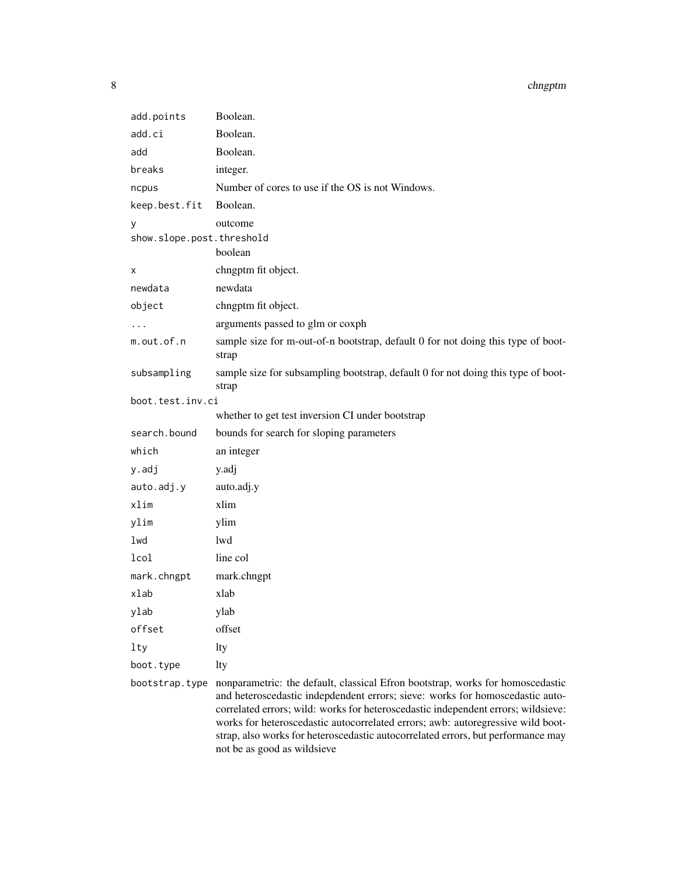#### 8 chngptm

| add.points                | Boolean.                                                                                                                                                                                                                                                                                                                                |
|---------------------------|-----------------------------------------------------------------------------------------------------------------------------------------------------------------------------------------------------------------------------------------------------------------------------------------------------------------------------------------|
| add.ci                    | Boolean.                                                                                                                                                                                                                                                                                                                                |
| add                       | Boolean.                                                                                                                                                                                                                                                                                                                                |
| breaks                    | integer.                                                                                                                                                                                                                                                                                                                                |
| ncpus                     | Number of cores to use if the OS is not Windows.                                                                                                                                                                                                                                                                                        |
| keep.best.fit             | Boolean.                                                                                                                                                                                                                                                                                                                                |
| У                         | outcome                                                                                                                                                                                                                                                                                                                                 |
| show.slope.post.threshold |                                                                                                                                                                                                                                                                                                                                         |
|                           | boolean                                                                                                                                                                                                                                                                                                                                 |
| х                         | chngptm fit object.                                                                                                                                                                                                                                                                                                                     |
| newdata                   | newdata                                                                                                                                                                                                                                                                                                                                 |
| object                    | chngptm fit object.                                                                                                                                                                                                                                                                                                                     |
|                           | arguments passed to glm or coxph                                                                                                                                                                                                                                                                                                        |
| m.out.of.n                | sample size for m-out-of-n bootstrap, default 0 for not doing this type of boot-<br>strap                                                                                                                                                                                                                                               |
| subsampling               | sample size for subsampling bootstrap, default 0 for not doing this type of boot-<br>strap                                                                                                                                                                                                                                              |
| boot.test.inv.ci          |                                                                                                                                                                                                                                                                                                                                         |
|                           | whether to get test inversion CI under bootstrap                                                                                                                                                                                                                                                                                        |
| search.bound              | bounds for search for sloping parameters                                                                                                                                                                                                                                                                                                |
| which                     | an integer                                                                                                                                                                                                                                                                                                                              |
| y.adj                     | y.adj                                                                                                                                                                                                                                                                                                                                   |
| auto.adj.y                | auto.adj.y                                                                                                                                                                                                                                                                                                                              |
| xlim                      | xlim                                                                                                                                                                                                                                                                                                                                    |
| ylim                      | ylim                                                                                                                                                                                                                                                                                                                                    |
| lwd                       | lwd                                                                                                                                                                                                                                                                                                                                     |
| lcol                      | line col                                                                                                                                                                                                                                                                                                                                |
| mark.chngpt               | mark.chngpt                                                                                                                                                                                                                                                                                                                             |
| xlab                      | xlab                                                                                                                                                                                                                                                                                                                                    |
| ylab                      | ylab                                                                                                                                                                                                                                                                                                                                    |
| offset                    | offset                                                                                                                                                                                                                                                                                                                                  |
| lty                       | lty                                                                                                                                                                                                                                                                                                                                     |
| boot.type                 | lty                                                                                                                                                                                                                                                                                                                                     |
| bootstrap.type            | nonparametric: the default, classical Efron bootstrap, works for homoscedastic<br>and heteroscedastic indepdendent errors; sieve: works for homoscedastic auto-<br>correlated errors; wild: works for heteroscedastic independent errors; wildsieve:<br>works for heteroscedastic autocorrelated errors: awb: autoregressive wild boot- |

works for heteroscedastic autocorrelated errors; awb: autoregressive wild bootstrap, also works for heteroscedastic autocorrelated errors, but performance may not be as good as wildsieve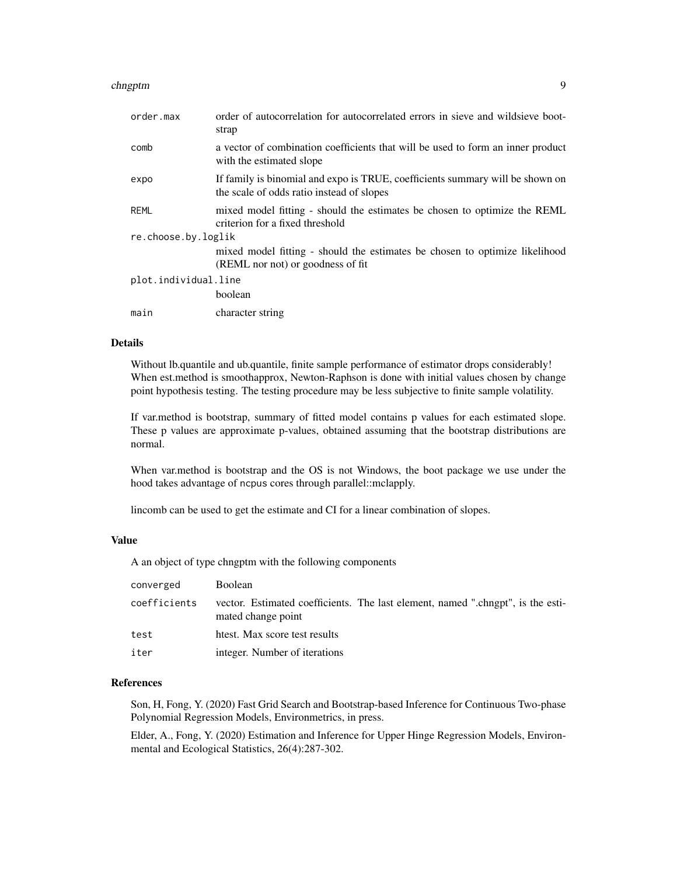| order.max            | order of autocorrelation for autocorrelated errors in sieve and wildsieve boot-<br>strap                                   |  |
|----------------------|----------------------------------------------------------------------------------------------------------------------------|--|
| comb                 | a vector of combination coefficients that will be used to form an inner product<br>with the estimated slope                |  |
| expo                 | If family is binomial and expo is TRUE, coefficients summary will be shown on<br>the scale of odds ratio instead of slopes |  |
| <b>REML</b>          | mixed model fitting - should the estimates be chosen to optimize the REML<br>criterion for a fixed threshold               |  |
| re.choose.by.loglik  |                                                                                                                            |  |
|                      | mixed model fitting - should the estimates be chosen to optimize likelihood                                                |  |
|                      | (REML nor not) or goodness of fit                                                                                          |  |
| plot.individual.line |                                                                                                                            |  |
|                      | boolean                                                                                                                    |  |
| main                 | character string                                                                                                           |  |

#### Details

Without lb.quantile and ub.quantile, finite sample performance of estimator drops considerably! When est.method is smoothapprox, Newton-Raphson is done with initial values chosen by change point hypothesis testing. The testing procedure may be less subjective to finite sample volatility.

If var.method is bootstrap, summary of fitted model contains p values for each estimated slope. These p values are approximate p-values, obtained assuming that the bootstrap distributions are normal.

When var.method is bootstrap and the OS is not Windows, the boot package we use under the hood takes advantage of ncpus cores through parallel::mclapply.

lincomb can be used to get the estimate and CI for a linear combination of slopes.

#### Value

A an object of type chngptm with the following components

| converged    | <b>Boolean</b>                                                                                        |
|--------------|-------------------------------------------------------------------------------------------------------|
| coefficients | vector. Estimated coefficients. The last element, named ".chngpt", is the esti-<br>mated change point |
| test         | htest. Max score test results                                                                         |
| iter         | integer. Number of iterations                                                                         |

#### References

Son, H, Fong, Y. (2020) Fast Grid Search and Bootstrap-based Inference for Continuous Two-phase Polynomial Regression Models, Environmetrics, in press.

Elder, A., Fong, Y. (2020) Estimation and Inference for Upper Hinge Regression Models, Environmental and Ecological Statistics, 26(4):287-302.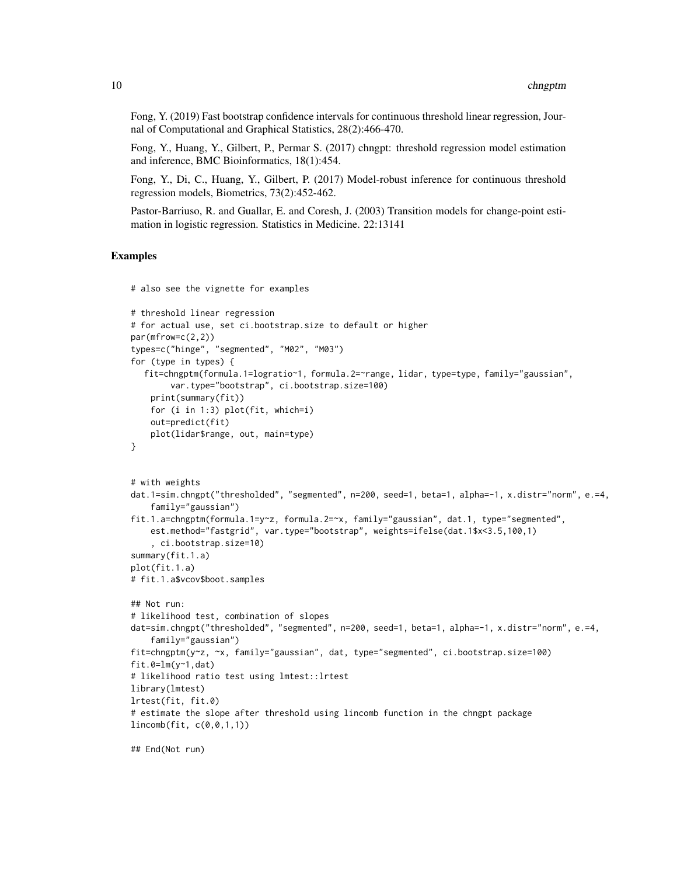Fong, Y. (2019) Fast bootstrap confidence intervals for continuous threshold linear regression, Journal of Computational and Graphical Statistics, 28(2):466-470.

Fong, Y., Huang, Y., Gilbert, P., Permar S. (2017) chngpt: threshold regression model estimation and inference, BMC Bioinformatics, 18(1):454.

Fong, Y., Di, C., Huang, Y., Gilbert, P. (2017) Model-robust inference for continuous threshold regression models, Biometrics, 73(2):452-462.

Pastor-Barriuso, R. and Guallar, E. and Coresh, J. (2003) Transition models for change-point estimation in logistic regression. Statistics in Medicine. 22:13141

#### Examples

```
# also see the vignette for examples
# threshold linear regression
# for actual use, set ci.bootstrap.size to default or higher
par(mfrow=c(2,2))
types=c("hinge", "segmented", "M02", "M03")
for (type in types) {
  fit=chngptm(formula.1=logratio~1, formula.2=~range, lidar, type=type, family="gaussian",
        var.type="bootstrap", ci.bootstrap.size=100)
    print(summary(fit))
    for (i in 1:3) plot(fit, which=i)
    out=predict(fit)
    plot(lidar$range, out, main=type)
}
# with weights
dat.1=sim.chngpt("thresholded", "segmented", n=200, seed=1, beta=1, alpha=-1, x.distr="norm", e.=4,
    family="gaussian")
fit.1.a=chngptm(formula.1=y~z, formula.2=~x, family="gaussian", dat.1, type="segmented",
    est.method="fastgrid", var.type="bootstrap", weights=ifelse(dat.1$x<3.5,100,1)
    , ci.bootstrap.size=10)
summary(fit.1.a)
plot(fit.1.a)
# fit.1.a$vcov$boot.samples
## Not run:
# likelihood test, combination of slopes
dat=sim.chngpt("thresholded", "segmented", n=200, seed=1, beta=1, alpha=-1, x.distr="norm", e.=4,
    family="gaussian")
fit=chngptm(y~z, ~x, family="gaussian", dat, type="segmented", ci.bootstrap.size=100)
fit.\theta=lm(y-1,dat)# likelihood ratio test using lmtest::lrtest
library(lmtest)
lrtest(fit, fit.0)
# estimate the slope after threshold using lincomb function in the chngpt package
lincomb(fit, c(0,0,1,1))
## End(Not run)
```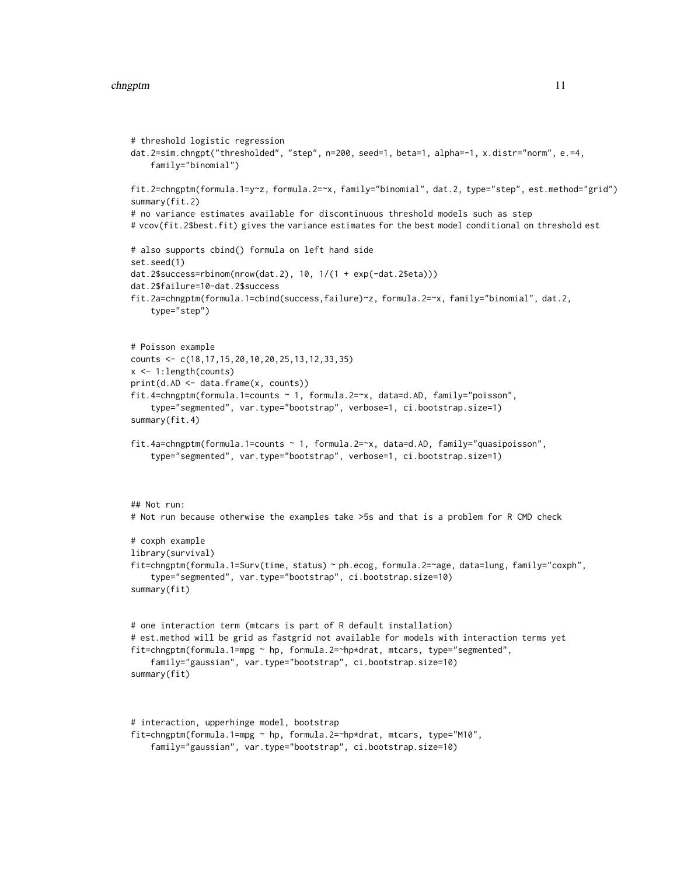#### chngptm and the change of the change of the change of the change of the change of the change of the change of the change of the change of the change of the change of the change of the change of the change of the change of

```
# threshold logistic regression
dat.2=sim.chngpt("thresholded", "step", n=200, seed=1, beta=1, alpha=-1, x.distr="norm", e.=4,
    family="binomial")
fit.2=chngptm(formula.1=y~z, formula.2=~x, family="binomial", dat.2, type="step", est.method="grid")
summary(fit.2)
# no variance estimates available for discontinuous threshold models such as step
# vcov(fit.2$best.fit) gives the variance estimates for the best model conditional on threshold est
# also supports cbind() formula on left hand side
set.seed(1)
dat.2$success=rbinom(nrow(dat.2), 10, 1/(1 + exp(-dat.2$eta)))
dat.2$failure=10-dat.2$success
fit.2a=chngptm(formula.1=cbind(success,failure)~z, formula.2=~x, family="binomial", dat.2,
    type="step")
# Poisson example
counts <- c(18,17,15,20,10,20,25,13,12,33,35)
x <- 1:length(counts)
print(d.AD <- data.frame(x, counts))
fit.4=chngptm(formula.1=counts ~ 1, formula.2=~x, data=d.AD, family="poisson",
    type="segmented", var.type="bootstrap", verbose=1, ci.bootstrap.size=1)
summary(fit.4)
fit.4a=chngptm(formula.1=counts ~ 1, formula.2=~x, data=d.AD, family="quasipoisson",
    type="segmented", var.type="bootstrap", verbose=1, ci.bootstrap.size=1)
## Not run:
# Not run because otherwise the examples take >5s and that is a problem for R CMD check
# coxph example
library(survival)
fit=chngptm(formula.1=Surv(time, status) ~ ph.ecog, formula.2=~age, data=lung, family="coxph",
    type="segmented", var.type="bootstrap", ci.bootstrap.size=10)
summary(fit)
# one interaction term (mtcars is part of R default installation)
# est.method will be grid as fastgrid not available for models with interaction terms yet
fit=chngptm(formula.1=mpg ~ hp, formula.2=~hp*drat, mtcars, type="segmented",
    family="gaussian", var.type="bootstrap", ci.bootstrap.size=10)
summary(fit)
# interaction, upperhinge model, bootstrap
```

```
fit=chngptm(formula.1=mpg ~ hp, formula.2=~hp*drat, mtcars, type="M10",
    family="gaussian", var.type="bootstrap", ci.bootstrap.size=10)
```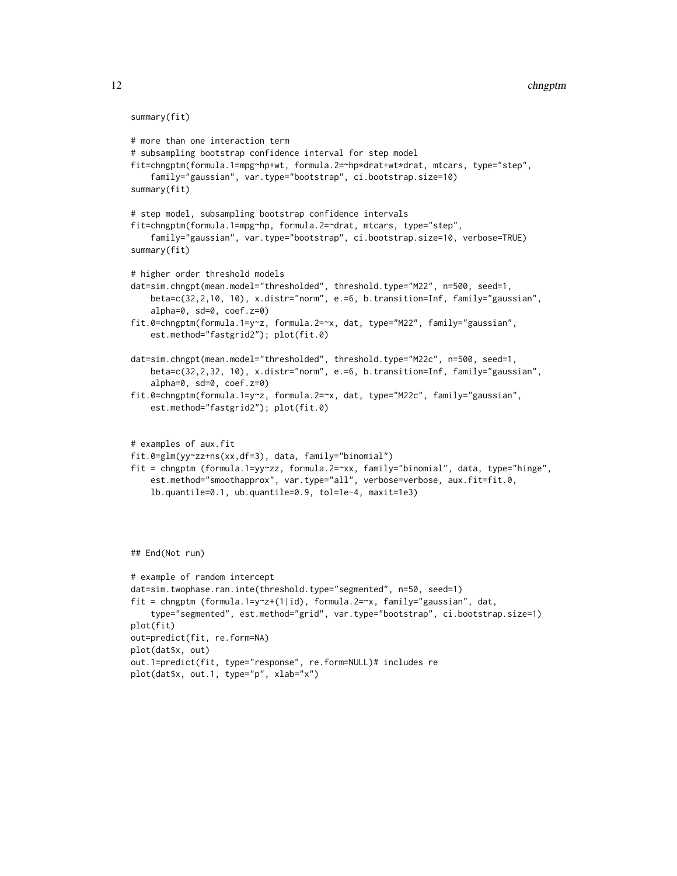```
summary(fit)
# more than one interaction term
# subsampling bootstrap confidence interval for step model
fit=chngptm(formula.1=mpg~hp+wt, formula.2=~hp*drat+wt*drat, mtcars, type="step",
    family="gaussian", var.type="bootstrap", ci.bootstrap.size=10)
summary(fit)
# step model, subsampling bootstrap confidence intervals
fit=chngptm(formula.1=mpg~hp, formula.2=~drat, mtcars, type="step",
    family="gaussian", var.type="bootstrap", ci.bootstrap.size=10, verbose=TRUE)
summary(fit)
# higher order threshold models
dat=sim.chngpt(mean.model="thresholded", threshold.type="M22", n=500, seed=1,
    beta=c(32,2,10, 10), x.distr="norm", e.=6, b.transition=Inf, family="gaussian",
    alpha=0, sd=0, coef.z=0)
fit.0=chngptm(formula.1=y~z, formula.2=~x, dat, type="M22", family="gaussian",
    est.method="fastgrid2"); plot(fit.0)
dat=sim.chngpt(mean.model="thresholded", threshold.type="M22c", n=500, seed=1,
    beta=c(32,2,32, 10), x.distr="norm", e.=6, b.transition=Inf, family="gaussian",
    alpha=0, sd=0, coef.z=0)
fit.0=chngptm(formula.1=y~z, formula.2=~x, dat, type="M22c", family="gaussian",
    est.method="fastgrid2"); plot(fit.0)
# examples of aux.fit
fit.0=glm(yy~zz+ns(xx,df=3), data, family="binomial")
fit = chngptm (formula.1=yy~zz, formula.2=~xx, family="binomial", data, type="hinge",
    est.method="smoothapprox", var.type="all", verbose=verbose, aux.fit=fit.0,
    lb.quantile=0.1, ub.quantile=0.9, tol=1e-4, maxit=1e3)
```
## End(Not run)

```
# example of random intercept
dat=sim.twophase.ran.inte(threshold.type="segmented", n=50, seed=1)
fit = chngptm (formula.1=y~z+(1|id), formula.2=~x, family="gaussian", dat,
    type="segmented", est.method="grid", var.type="bootstrap", ci.bootstrap.size=1)
plot(fit)
out=predict(fit, re.form=NA)
plot(dat$x, out)
out.1=predict(fit, type="response", re.form=NULL)# includes re
plot(dat$x, out.1, type="p", xlab="x")
```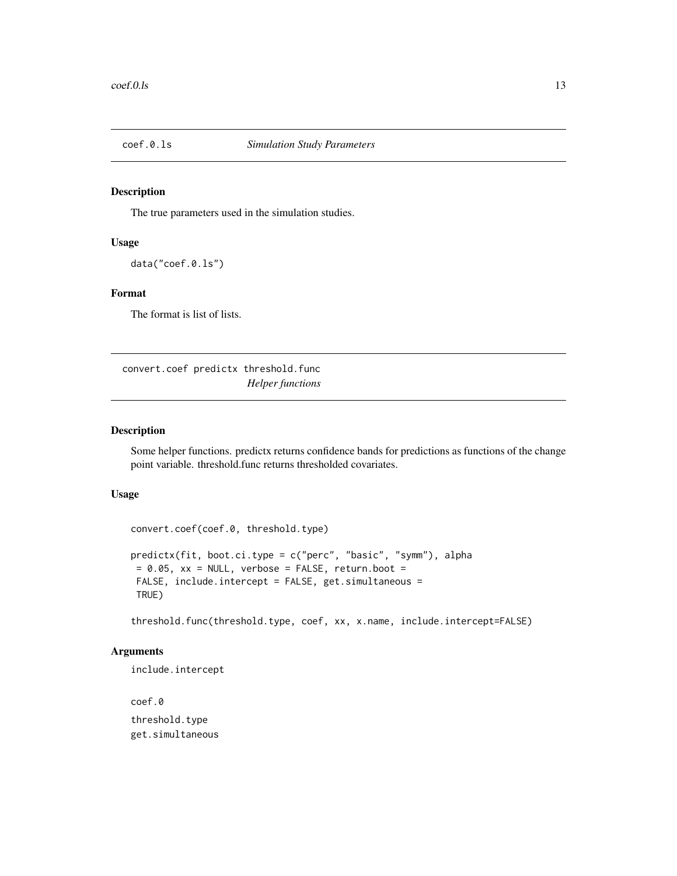<span id="page-12-0"></span>

#### Description

The true parameters used in the simulation studies.

## Usage

data("coef.0.ls")

## Format

The format is list of lists.

convert.coef predictx threshold.func *Helper functions*

## Description

Some helper functions. predictx returns confidence bands for predictions as functions of the change point variable. threshold.func returns thresholded covariates.

## Usage

convert.coef(coef.0, threshold.type)

```
predictx(fit, boot.ci.type = c("perc", "basic", "symm"), alpha
= 0.05, xx = NULL, verbose = FALSE, return.boot =
FALSE, include.intercept = FALSE, get.simultaneous =
TRUE)
```
threshold.func(threshold.type, coef, xx, x.name, include.intercept=FALSE)

#### Arguments

include.intercept

coef.0 threshold.type get.simultaneous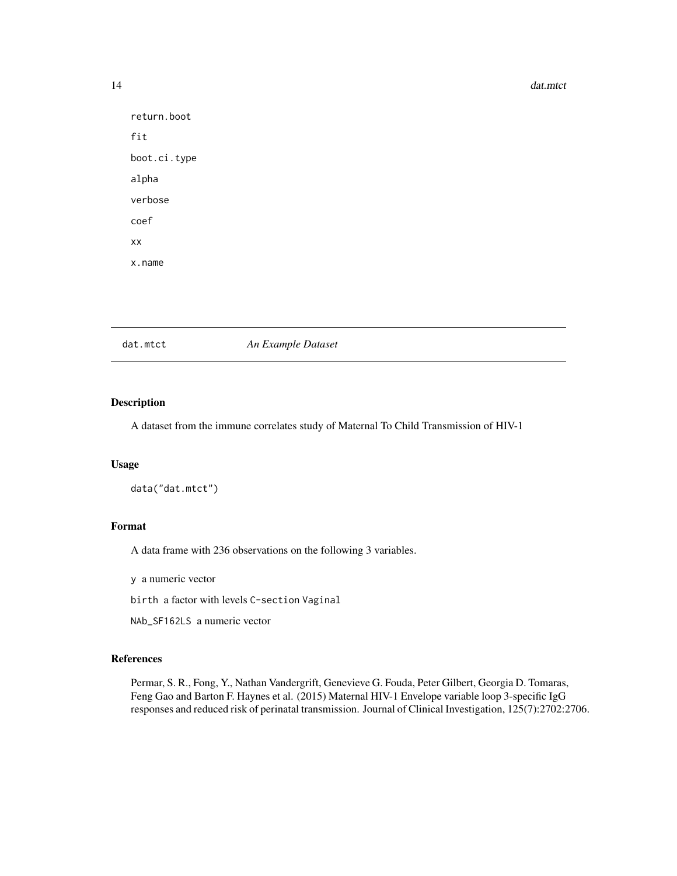```
return.boot
fit
boot.ci.type
alpha
verbose
coef
xx
x.name
```
dat.mtct *An Example Dataset*

### Description

A dataset from the immune correlates study of Maternal To Child Transmission of HIV-1

#### Usage

data("dat.mtct")

## Format

A data frame with 236 observations on the following 3 variables.

y a numeric vector

birth a factor with levels C-section Vaginal

NAb\_SF162LS a numeric vector

## References

Permar, S. R., Fong, Y., Nathan Vandergrift, Genevieve G. Fouda, Peter Gilbert, Georgia D. Tomaras, Feng Gao and Barton F. Haynes et al. (2015) Maternal HIV-1 Envelope variable loop 3-specific IgG responses and reduced risk of perinatal transmission. Journal of Clinical Investigation, 125(7):2702:2706.

<span id="page-13-0"></span>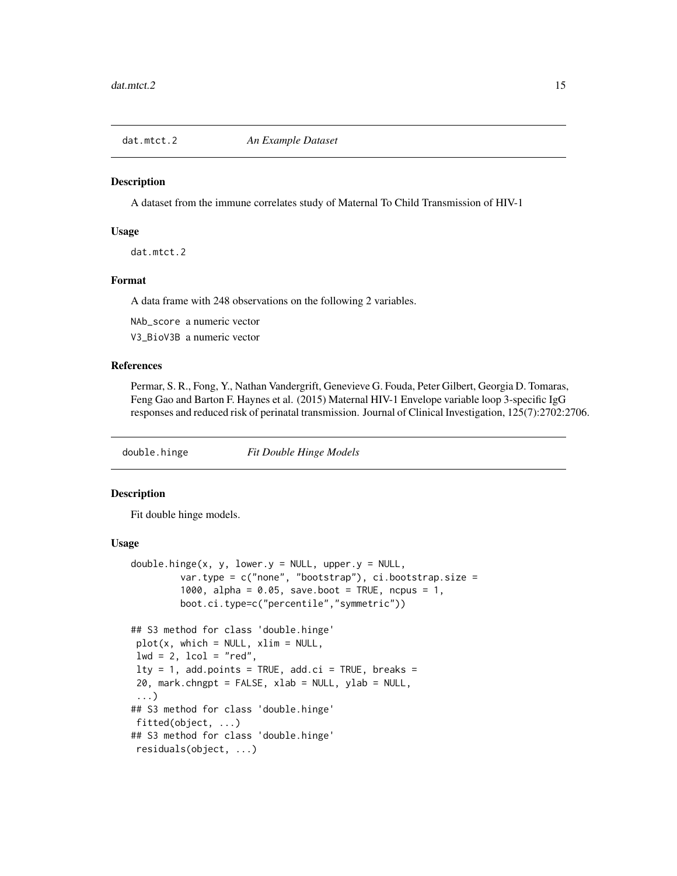<span id="page-14-0"></span>

#### Description

A dataset from the immune correlates study of Maternal To Child Transmission of HIV-1

#### Usage

dat.mtct.2

#### Format

A data frame with 248 observations on the following 2 variables.

NAb\_score a numeric vector

V3\_BioV3B a numeric vector

## References

Permar, S. R., Fong, Y., Nathan Vandergrift, Genevieve G. Fouda, Peter Gilbert, Georgia D. Tomaras, Feng Gao and Barton F. Haynes et al. (2015) Maternal HIV-1 Envelope variable loop 3-specific IgG responses and reduced risk of perinatal transmission. Journal of Clinical Investigation, 125(7):2702:2706.

double.hinge *Fit Double Hinge Models*

#### Description

Fit double hinge models.

#### Usage

```
double.hinge(x, y, lower.y = NULL, upper.y = NULL,
         var.type = c("none", "bootstrap"), ci.bootstrap.size =
         1000, alpha = 0.05, save.boot = TRUE, ncpus = 1,
         boot.ci.type=c("percentile","symmetric"))
## S3 method for class 'double.hinge'
plot(x, which = NULL, xlim = NULL,lwd = 2, lcol = "red",lty = 1, add.points = TRUE, add.ci = TRUE, breaks =
20, mark.chngpt = FALSE, xlab = NULL, ylab = NULL,
 ...)
## S3 method for class 'double.hinge'
fitted(object, ...)
## S3 method for class 'double.hinge'
residuals(object, ...)
```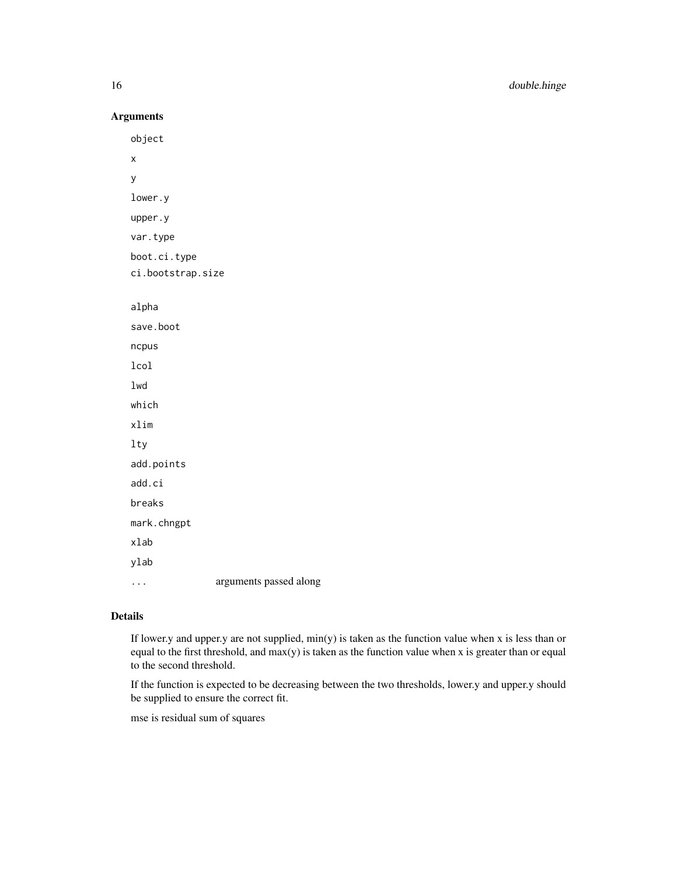Arguments

object x y lower.y upper.y var.type boot.ci.type ci.bootstrap.size alpha save.boot ncpus lcol lwd which xlim lty add.points add.ci breaks mark.chngpt xlab ylab ... arguments passed along

## Details

If lower.y and upper.y are not supplied,  $min(y)$  is taken as the function value when x is less than or equal to the first threshold, and max(y) is taken as the function value when x is greater than or equal to the second threshold.

If the function is expected to be decreasing between the two thresholds, lower.y and upper.y should be supplied to ensure the correct fit.

mse is residual sum of squares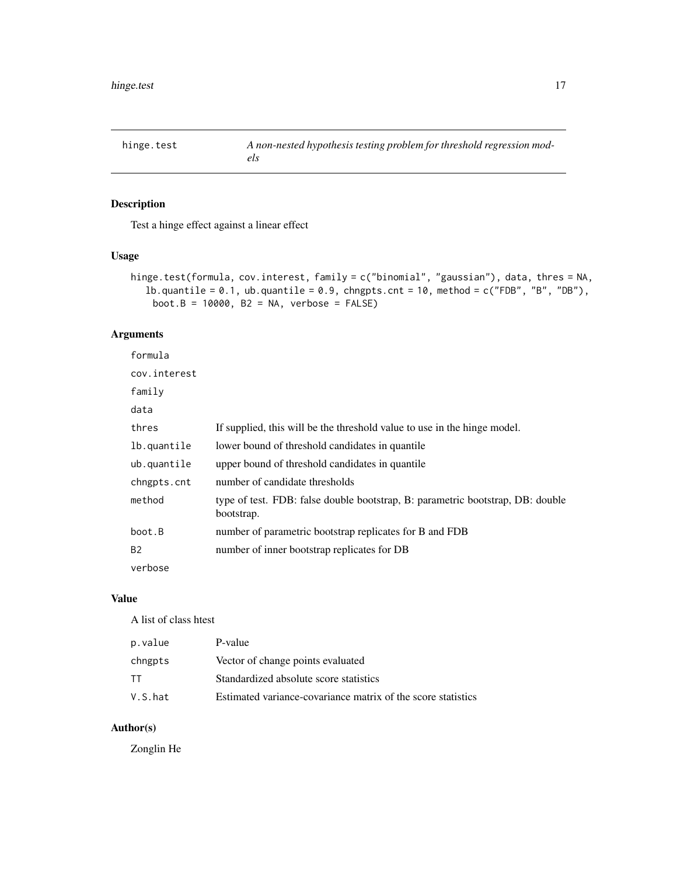<span id="page-16-0"></span>hinge.test *A non-nested hypothesis testing problem for threshold regression models*

## Description

Test a hinge effect against a linear effect

### Usage

```
hinge.test(formula, cov.interest, family = c("binomial", "gaussian"), data, thres = NA,
  lb.quantile = 0.1, ub.quantile = 0.9, chngpts.cnt = 10, method = c("FDB", "B", "DB"),boot.B = 10000, B2 = NA, verbose = FALSE)
```
## Arguments

| formula      |                                                                                              |
|--------------|----------------------------------------------------------------------------------------------|
| cov.interest |                                                                                              |
| family       |                                                                                              |
| data         |                                                                                              |
| thres        | If supplied, this will be the threshold value to use in the hinge model.                     |
| lb.quantile  | lower bound of threshold candidates in quantile.                                             |
| ub.quantile  | upper bound of threshold candidates in quantile                                              |
| chngpts.cnt  | number of candidate thresholds                                                               |
| method       | type of test. FDB: false double bootstrap, B: parametric bootstrap, DB: double<br>bootstrap. |
| boot.B       | number of parametric bootstrap replicates for B and FDB                                      |
| <b>B2</b>    | number of inner bootstrap replicates for DB                                                  |
| verbose      |                                                                                              |

#### Value

A list of class htest

| p.value | P-value                                                      |
|---------|--------------------------------------------------------------|
| chngpts | Vector of change points evaluated                            |
| тт      | Standardized absolute score statistics                       |
| V.S.hat | Estimated variance-covariance matrix of the score statistics |

## Author(s)

Zonglin He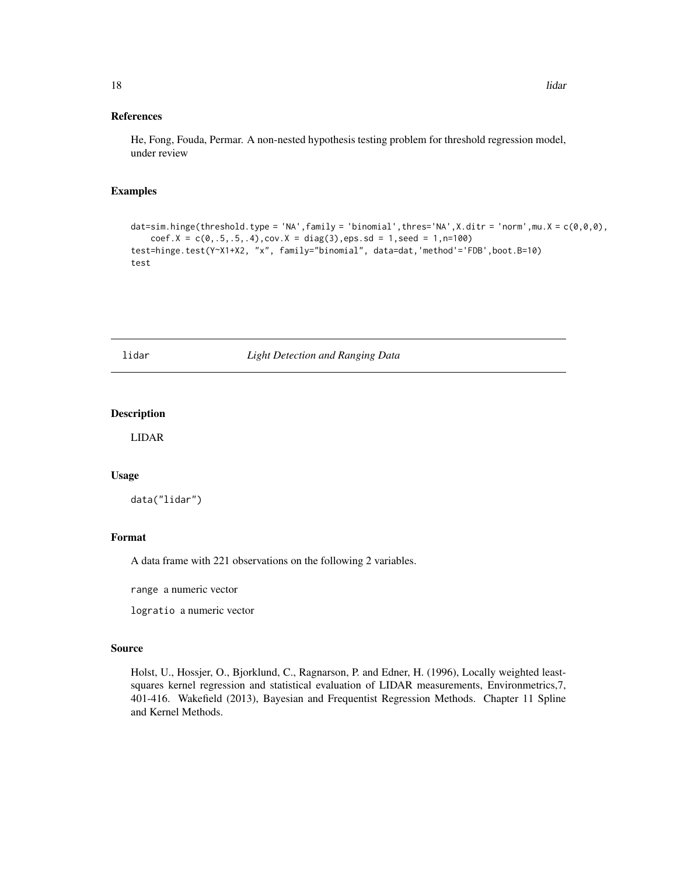#### <span id="page-17-0"></span>References

He, Fong, Fouda, Permar. A non-nested hypothesis testing problem for threshold regression model, under review

#### Examples

```
dat=sim.hinge(threshold.type = 'NA',family = 'binomial',thres='NA',X.ditr = 'norm',mu.X = c(\theta, \theta, \theta),
    coef.X = c(0,.5,.5,.4), cov.X = diag(3), eps sd = 1, seed = 1, n=100)
test=hinge.test(Y~X1+X2, "x", family="binomial", data=dat,'method'='FDB',boot.B=10)
test
```
#### lidar *Light Detection and Ranging Data*

## Description

LIDAR

#### Usage

data("lidar")

#### Format

A data frame with 221 observations on the following 2 variables.

range a numeric vector

logratio a numeric vector

#### Source

Holst, U., Hossjer, O., Bjorklund, C., Ragnarson, P. and Edner, H. (1996), Locally weighted leastsquares kernel regression and statistical evaluation of LIDAR measurements, Environmetrics,7, 401-416. Wakefield (2013), Bayesian and Frequentist Regression Methods. Chapter 11 Spline and Kernel Methods.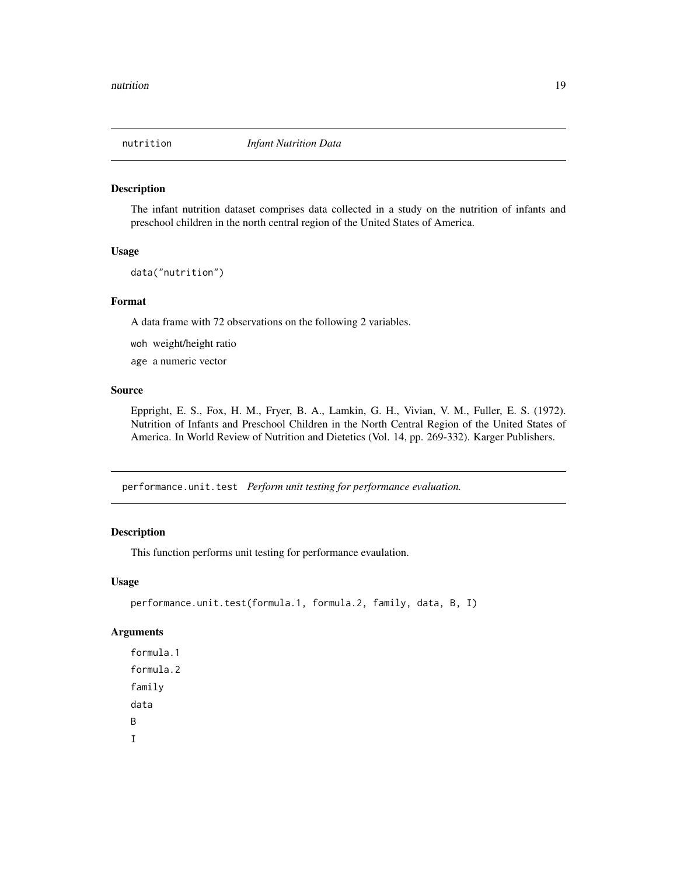<span id="page-18-0"></span>

#### Description

The infant nutrition dataset comprises data collected in a study on the nutrition of infants and preschool children in the north central region of the United States of America.

#### Usage

data("nutrition")

#### Format

A data frame with 72 observations on the following 2 variables.

- woh weight/height ratio
- age a numeric vector

#### Source

Eppright, E. S., Fox, H. M., Fryer, B. A., Lamkin, G. H., Vivian, V. M., Fuller, E. S. (1972). Nutrition of Infants and Preschool Children in the North Central Region of the United States of America. In World Review of Nutrition and Dietetics (Vol. 14, pp. 269-332). Karger Publishers.

performance.unit.test *Perform unit testing for performance evaluation*.

#### Description

This function performs unit testing for performance evaulation.

#### Usage

```
performance.unit.test(formula.1, formula.2, family, data, B, I)
```
#### Arguments

formula.1 formula.2 family data B I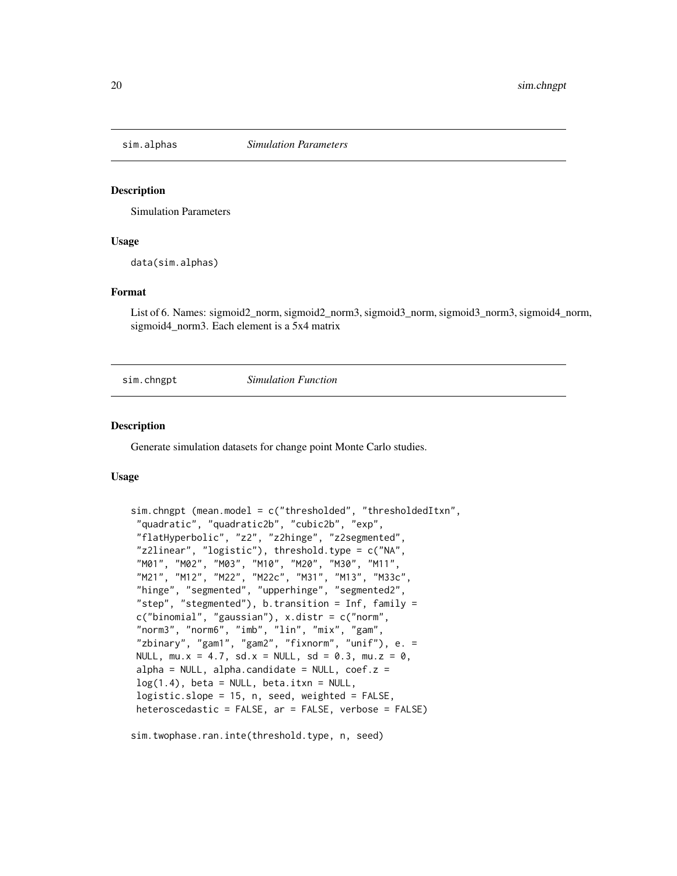<span id="page-19-0"></span>

#### **Description**

Simulation Parameters

#### Usage

data(sim.alphas)

#### Format

List of 6. Names: sigmoid2\_norm, sigmoid2\_norm3, sigmoid3\_norm, sigmoid3\_norm3, sigmoid4\_norm, sigmoid4\_norm3. Each element is a 5x4 matrix

sim.chngpt *Simulation Function*

#### Description

Generate simulation datasets for change point Monte Carlo studies.

#### Usage

```
sim.chngpt (mean.model = c("thresholded", "thresholdedItxn",
 "quadratic", "quadratic2b", "cubic2b", "exp",
"flatHyperbolic", "z2", "z2hinge", "z2segmented",
"z2linear", "logistic"), threshold.type = c("NA",
"M01", "M02", "M03", "M10", "M20", "M30", "M11",
 "M21", "M12", "M22", "M22c", "M31", "M13", "M33c",
 "hinge", "segmented", "upperhinge", "segmented2",
"step", "stegmented"), b.transition = Inf, family =
c("binomial", "gaussian"), x.distr = c("norm",
"norm3", "norm6", "imb", "lin", "mix", "gam",
"zbinary", "gam1", "gam2", "fixnorm", "unif"), e. =
NULL, mu.x = 4.7, sd.x = NULL, sd = 0.3, mu.z = 0,
alpha = NULL, alpha.candidate = NULL, \text{coef}.z =
log(1.4), beta = NULL, beta.itxn = NULL,
logistic.slope = 15, n, seed, weighted = FALSE,
heteroscedastic = FALSE, ar = FALSE, verbose = FALSE)
```
sim.twophase.ran.inte(threshold.type, n, seed)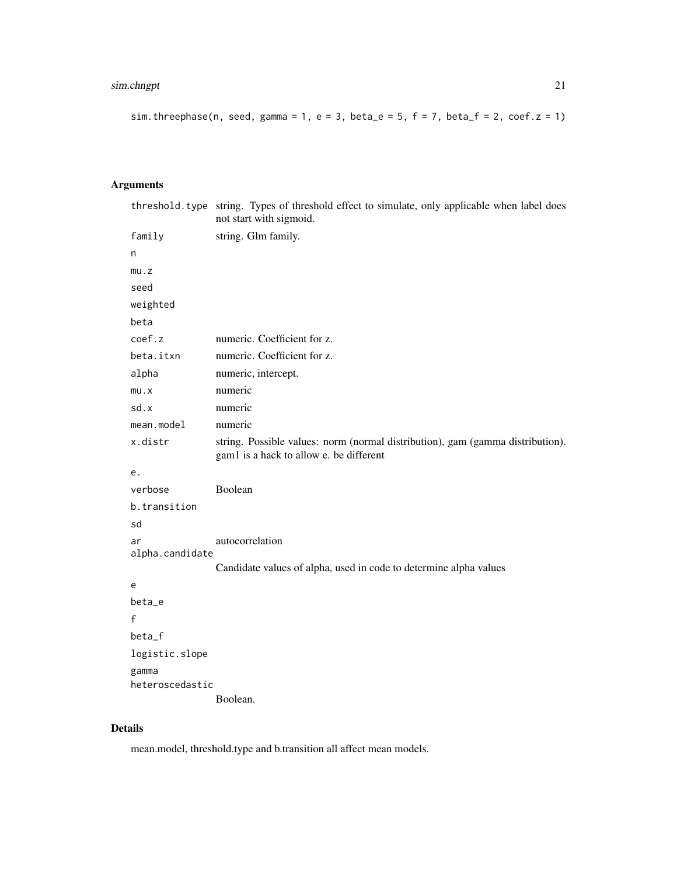## sim.chngpt 21

```
sim.threephase(n, seed, gamma = 1, e = 3, beta_e = 5, f = 7, beta_f = 2, coef.z = 1)
```
## Arguments

|                       | threshold. type string. Types of threshold effect to simulate, only applicable when label does<br>not start with sigmoid. |
|-----------------------|---------------------------------------------------------------------------------------------------------------------------|
| family                | string. Glm family.                                                                                                       |
| n                     |                                                                                                                           |
| mu.z                  |                                                                                                                           |
| seed                  |                                                                                                                           |
| weighted              |                                                                                                                           |
| beta                  |                                                                                                                           |
| coef.z                | numeric. Coefficient for z.                                                                                               |
| beta.itxn             | numeric. Coefficient for z.                                                                                               |
| alpha                 | numeric, intercept.                                                                                                       |
| mu.x                  | numeric                                                                                                                   |
| sd.x                  | numeric                                                                                                                   |
| mean.model            | numeric                                                                                                                   |
| x.distr               | string. Possible values: norm (normal distribution), gam (gamma distribution).<br>gam1 is a hack to allow e. be different |
| е.                    |                                                                                                                           |
| verbose               | Boolean                                                                                                                   |
| b.transition          |                                                                                                                           |
| sd                    |                                                                                                                           |
| ar<br>alpha.candidate | autocorrelation                                                                                                           |
|                       | Candidate values of alpha, used in code to determine alpha values                                                         |
| e                     |                                                                                                                           |
| beta_e                |                                                                                                                           |
| f                     |                                                                                                                           |
| beta_f                |                                                                                                                           |
| logistic.slope        |                                                                                                                           |
| gamma                 |                                                                                                                           |
| heteroscedastic       | Boolean.                                                                                                                  |
|                       |                                                                                                                           |

## Details

mean.model, threshold.type and b.transition all affect mean models.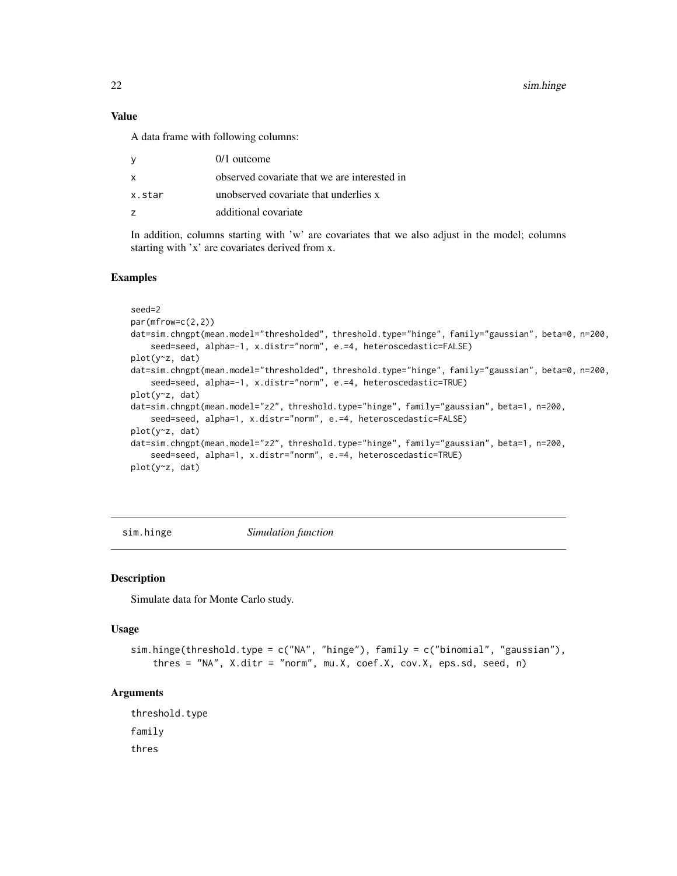<span id="page-21-0"></span>22 sim.hinge

## Value

A data frame with following columns:

| <sub>V</sub> | $0/1$ outcome                                |
|--------------|----------------------------------------------|
| X            | observed covariate that we are interested in |
| x.star       | unobserved covariate that underlies x        |
| 7            | additional covariate                         |

In addition, columns starting with 'w' are covariates that we also adjust in the model; columns starting with 'x' are covariates derived from x.

#### Examples

```
seed=2
par(mfrow=c(2,2))
dat=sim.chngpt(mean.model="thresholded", threshold.type="hinge", family="gaussian", beta=0, n=200,
    seed=seed, alpha=-1, x.distr="norm", e.=4, heteroscedastic=FALSE)
plot(y~z, dat)
dat=sim.chngpt(mean.model="thresholded", threshold.type="hinge", family="gaussian", beta=0, n=200,
    seed=seed, alpha=-1, x.distr="norm", e.=4, heteroscedastic=TRUE)
plot(y~z, dat)
dat=sim.chngpt(mean.model="z2", threshold.type="hinge", family="gaussian", beta=1, n=200,
    seed=seed, alpha=1, x.distr="norm", e.=4, heteroscedastic=FALSE)
plot(y~z, dat)
dat=sim.chngpt(mean.model="z2", threshold.type="hinge", family="gaussian", beta=1, n=200,
    seed=seed, alpha=1, x.distr="norm", e.=4, heteroscedastic=TRUE)
plot(y~z, dat)
```
sim.hinge *Simulation function*

#### Description

Simulate data for Monte Carlo study.

#### Usage

```
sim.hinge(threshold.type = c("NA", "hinge"), family = c("binomial", "gaussian"),
   thres = "NA", X.ditr = "norm", mu.X, coef.X, cov.X, eps.sd, seed, n)
```
#### **Arguments**

threshold.type family thres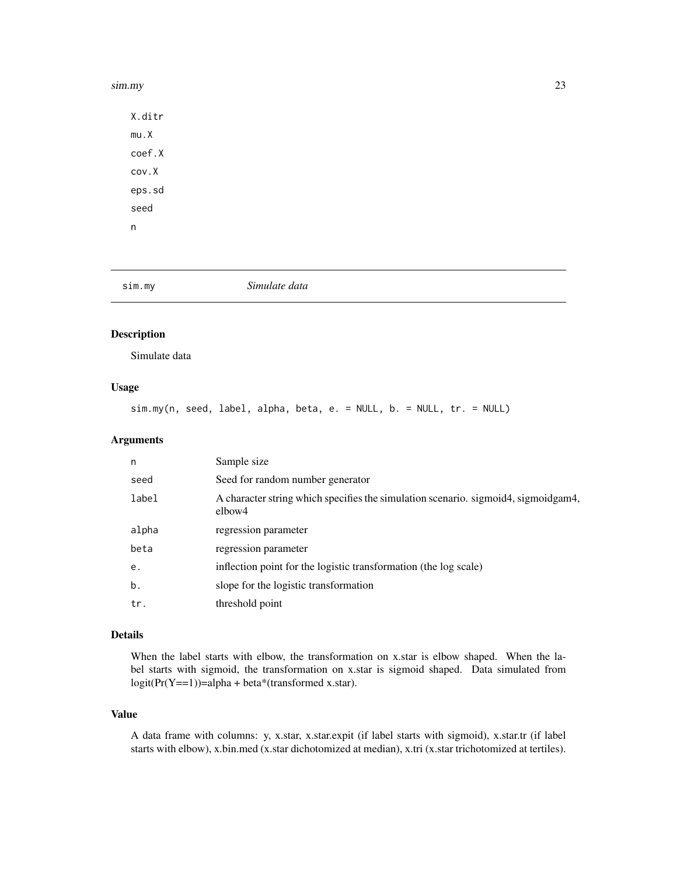#### <span id="page-22-0"></span>sim.my 23

X.ditr mu.X coef.X cov.X eps.sd seed n

## sim.my *Simulate data*

## **Description**

Simulate data

### Usage

sim.my(n, seed, label, alpha, beta, e. = NULL, b. = NULL, tr. = NULL)

## Arguments

| n     | Sample size                                                                                  |
|-------|----------------------------------------------------------------------------------------------|
| seed  | Seed for random number generator                                                             |
| label | A character string which specifies the simulation scenario. sigmoid4, sigmoidgam4,<br>elbow4 |
| alpha | regression parameter                                                                         |
| beta  | regression parameter                                                                         |
| е.    | inflection point for the logistic transformation (the log scale)                             |
| b.    | slope for the logistic transformation                                                        |
| tr.   | threshold point                                                                              |

#### Details

When the label starts with elbow, the transformation on x.star is elbow shaped. When the label starts with sigmoid, the transformation on x.star is sigmoid shaped. Data simulated from  $logit(Pr(Y == 1)) = alpha + beta*(transformed x.start).$ 

## Value

A data frame with columns: y, x.star, x.star.expit (if label starts with sigmoid), x.star.tr (if label starts with elbow), x.bin.med (x.star dichotomized at median), x.tri (x.star trichotomized at tertiles).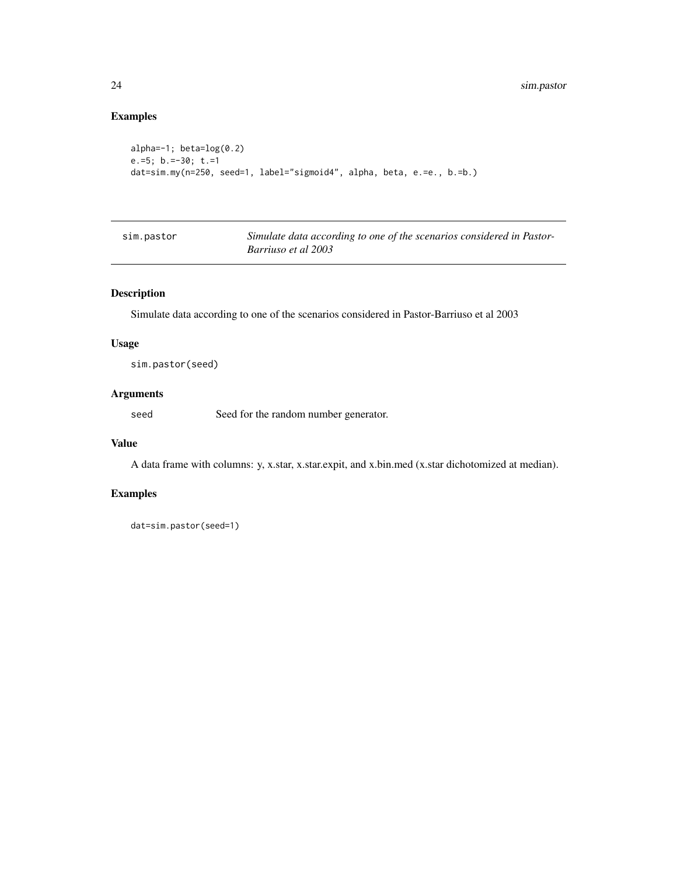## Examples

```
alpha=-1; beta=log(0.2)
e.=5; b.=-30; t.=1
dat=sim.my(n=250, seed=1, label="sigmoid4", alpha, beta, e.=e., b.=b.)
```

| sim.pastor | Simulate data according to one of the scenarios considered in Pastor- |
|------------|-----------------------------------------------------------------------|
|            | Barriuso et al 2003                                                   |

## Description

Simulate data according to one of the scenarios considered in Pastor-Barriuso et al 2003

#### Usage

sim.pastor(seed)

#### Arguments

seed Seed for the random number generator.

#### Value

A data frame with columns: y, x.star, x.star.expit, and x.bin.med (x.star dichotomized at median).

## Examples

dat=sim.pastor(seed=1)

<span id="page-23-0"></span>